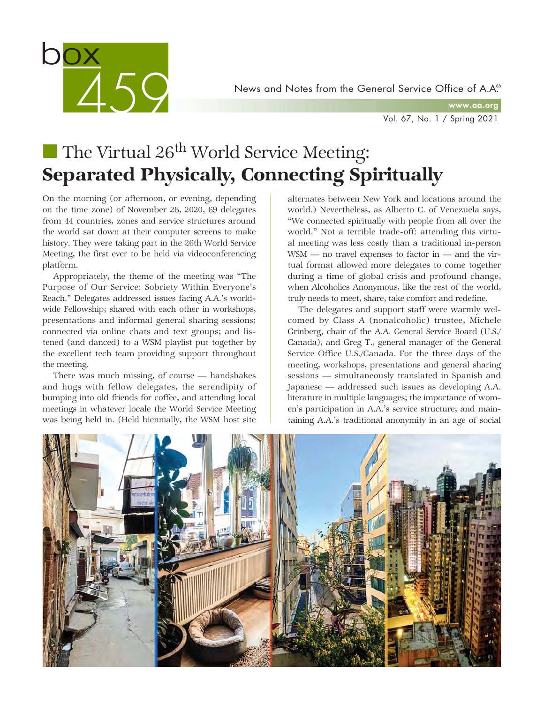

www.aa.org

Vol. 67, No. 1 / Spring 2021

# The Virtual  $26^{th}$  World Service Meeting: Separated Physically, Connecting Spiritually

On the morning (or afternoon, or evening, depending on the time zone) of November 28, 2020, 69 delegates from 44 countries, zones and service structures around the world sat down at their computer screens to make history. They were taking part in the 26th World Service Meeting, the first ever to be held via videoconferencing platform.

Appropriately, the theme of the meeting was "The Purpose of Our Service: Sobriety Within Everyone's Reach." Delegates addressed issues facing A.A.'s worldwide Fellowship; shared with each other in workshops, presentations and informal general sharing sessions; connected via online chats and text groups; and listened (and danced) to a WSM playlist put together by the excellent tech team providing support throughout the meeting.

There was much missing, of course — handshakes and hugs with fellow delegates, the serendipity of bumping into old friends for coffee, and attending local meetings in whatever locale the World Service Meeting was being held in. (Held biennially, the WSM host site

alternates between New York and locations around the world.) Nevertheless, as Alberto C. of Venezuela says, "We connected spiritually with people from all over the world." Not a terrible trade-off: attending this virtual meeting was less costly than a traditional in-person WSM — no travel expenses to factor in — and the virtual format allowed more delegates to come together during a time of global crisis and profound change, when Alcoholics Anonymous, like the rest of the world, truly needs to meet, share, take comfort and redefine.

The delegates and support staff were warmly welcomed by Class A (nonalcoholic) trustee, Michele Grinberg, chair of the A.A. General Service Board (U.S./ Canada), and Greg T., general manager of the General Service Office U.S./Canada. For the three days of the meeting, workshops, presentations and general sharing sessions — simultaneously translated in Spanish and Japanese — addressed such issues as developing A.A. literature in multiple languages; the importance of women's participation in A.A.'s service structure; and maintaining A.A.'s traditional anonymity in an age of social

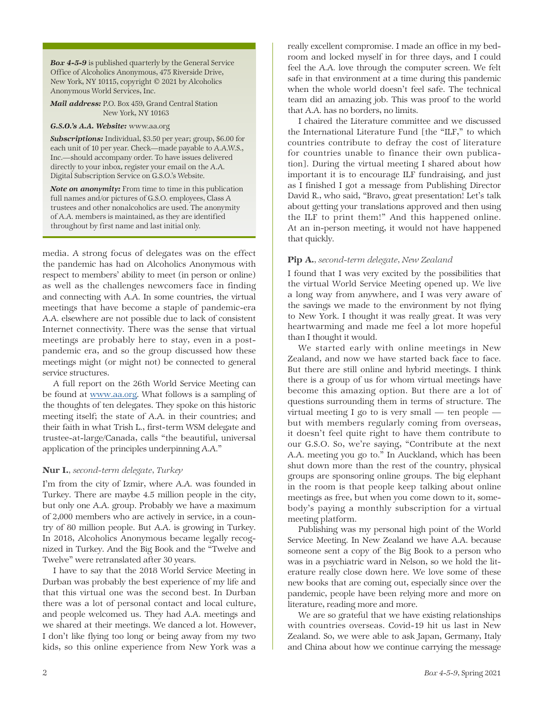*Box 4-5-9* is published quarterly by the General Service Office of Alcoholics Anonymous, 475 Riverside Drive, New York, NY 10115, copyright © 2021 by Alcoholics Anonymous World Services, Inc.

*Mail address:* P.O. Box 459, Grand Central Station New York, NY 10163

*G.S.O.'s A.A. Website:* www.aa.org

*Subscriptions:* Individual, \$3.50 per year; group, \$6.00 for each unit of 10 per year. Check—made payable to A.A.W.S., Inc.—should accompany order. To have issues delivered directly to your inbox, register your email on the A.A. Digital Subscription Service on G.S.O.'s Website.

*Note on anonymity:* From time to time in this publication full names and/or pictures of G.S.O. employees, Class A trustees and other nonalcoholics are used. The anonymity of A.A. members is maintained, as they are identified throughout by first name and last initial only.

media. A strong focus of delegates was on the effect the pandemic has had on Alcoholics Anonymous with respect to members' ability to meet (in person or online) as well as the challenges newcomers face in finding and connecting with A.A. In some countries, the virtual meetings that have become a staple of pandemic-era A.A. elsewhere are not possible due to lack of consistent Internet connectivity. There was the sense that virtual meetings are probably here to stay, even in a postpandemic era, and so the group discussed how these meetings might (or might not) be connected to general service structures.

A full report on the 26th World Service Meeting can be found at www.aa.org. What follows is a sampling of the thoughts of ten delegates. They spoke on this historic meeting itself; the state of A.A. in their countries; and their faith in what Trish L., first-term WSM delegate and trustee-at-large/Canada, calls "the beautiful, universal application of the principles underpinning A.A."

### Nur I.*, second-term delegate, Turkey*

I'm from the city of Izmir, where A.A. was founded in Turkey. There are maybe 4.5 million people in the city, but only one A.A. group. Probably we have a maximum of 2,000 members who are actively in service, in a country of 80 million people. But A.A. is growing in Turkey. In 2018, Alcoholics Anonymous became legally recognized in Turkey. And the Big Book and the "Twelve and Twelve" were retranslated after 30 years.

I have to say that the 2018 World Service Meeting in Durban was probably the best experience of my life and that this virtual one was the second best. In Durban there was a lot of personal contact and local culture, and people welcomed us. They had A.A. meetings and we shared at their meetings. We danced a lot. However, I don't like flying too long or being away from my two kids, so this online experience from New York was a

really excellent compromise. I made an office in my bedroom and locked myself in for three days, and I could feel the A.A. love through the computer screen. We felt safe in that environment at a time during this pandemic when the whole world doesn't feel safe. The technical team did an amazing job. This was proof to the world that A.A. has no borders, no limits.

I chaired the Literature committee and we discussed the International Literature Fund [the "ILF," to which countries contribute to defray the cost of literature for countries unable to finance their own publication]. During the virtual meeting I shared about how important it is to encourage ILF fundraising, and just as I finished I got a message from Publishing Director David R., who said, "Bravo, great presentation! Let's talk about getting your translations approved and then using the ILF to print them!" And this happened online. At an in-person meeting, it would not have happened that quickly.

### Pip A.*, second-term delegate, New Zealand*

I found that I was very excited by the possibilities that the virtual World Service Meeting opened up. We live a long way from anywhere, and I was very aware of the savings we made to the environment by not flying to New York. I thought it was really great. It was very heartwarming and made me feel a lot more hopeful than I thought it would.

We started early with online meetings in New Zealand, and now we have started back face to face. But there are still online and hybrid meetings. I think there is a group of us for whom virtual meetings have become this amazing option. But there are a lot of questions surrounding them in terms of structure. The virtual meeting I go to is very small — ten people but with members regularly coming from overseas, it doesn't feel quite right to have them contribute to our G.S.O. So, we're saying, "Contribute at the next A.A. meeting you go to." In Auckland, which has been shut down more than the rest of the country, physical groups are sponsoring online groups. The big elephant in the room is that people keep talking about online meetings as free, but when you come down to it, somebody's paying a monthly subscription for a virtual meeting platform.

Publishing was my personal high point of the World Service Meeting. In New Zealand we have A.A. because someone sent a copy of the Big Book to a person who was in a psychiatric ward in Nelson, so we hold the literature really close down here. We love some of these new books that are coming out, especially since over the pandemic, people have been relying more and more on literature, reading more and more.

We are so grateful that we have existing relationships with countries overseas. Covid-19 hit us last in New Zealand. So, we were able to ask Japan, Germany, Italy and China about how we continue carrying the message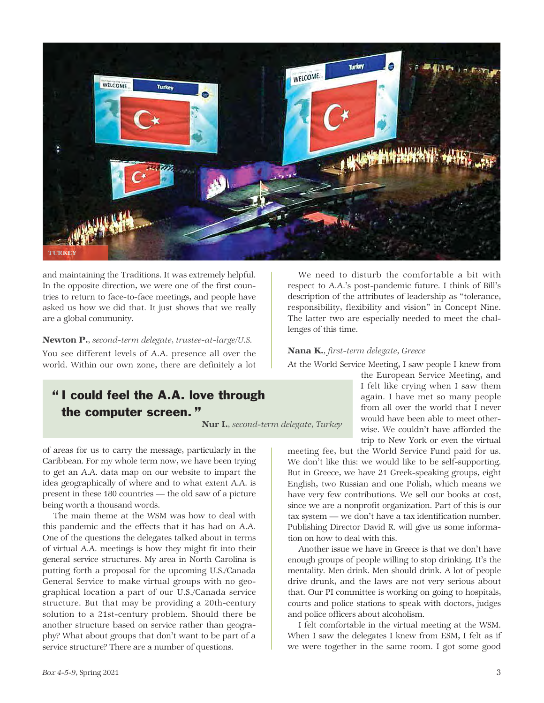

and maintaining the Traditions. It was extremely helpful. In the opposite direction, we were one of the first countries to return to face-to-face meetings, and people have asked us how we did that. It just shows that we really are a global community.

#### Newton P.*, second-term delegate, trustee-at-large/U.S.*

You see different levels of A.A. presence all over the world. Within our own zone, there are definitely a lot

# " I could feel the A.A. love through the computer screen. "

Nur I.*, second-term delegate, Turkey*

of areas for us to carry the message, particularly in the Caribbean. For my whole term now, we have been trying to get an A.A. data map on our website to impart the idea geographically of where and to what extent A.A. is present in these 180 countries — the old saw of a picture being worth a thousand words.

The main theme at the WSM was how to deal with this pandemic and the effects that it has had on A.A. One of the questions the delegates talked about in terms of virtual A.A. meetings is how they might fit into their general service structures. My area in North Carolina is putting forth a proposal for the upcoming U.S./Canada General Service to make virtual groups with no geographical location a part of our U.S./Canada service structure. But that may be providing a 20th-century solution to a 21st-century problem. Should there be another structure based on service rather than geography? What about groups that don't want to be part of a service structure? There are a number of questions.

We need to disturb the comfortable a bit with respect to A.A.'s post-pandemic future. I think of Bill's description of the attributes of leadership as "tolerance, responsibility, flexibility and vision" in Concept Nine. The latter two are especially needed to meet the challenges of this time.

#### Nana K.*, first-term delegate, Greece*

At the World Service Meeting, I saw people I knew from

the European Service Meeting, and I felt like crying when I saw them again. I have met so many people from all over the world that I never would have been able to meet otherwise. We couldn't have afforded the trip to New York or even the virtual

meeting fee, but the World Service Fund paid for us. We don't like this: we would like to be self-supporting. But in Greece, we have 21 Greek-speaking groups, eight English, two Russian and one Polish, which means we have very few contributions. We sell our books at cost, since we are a nonprofit organization. Part of this is our tax system — we don't have a tax identification number. Publishing Director David R. will give us some information on how to deal with this.

Another issue we have in Greece is that we don't have enough groups of people willing to stop drinking. It's the mentality. Men drink. Men should drink. A lot of people drive drunk, and the laws are not very serious about that. Our PI committee is working on going to hospitals, courts and police stations to speak with doctors, judges and police officers about alcoholism.

I felt comfortable in the virtual meeting at the WSM. When I saw the delegates I knew from ESM, I felt as if we were together in the same room. I got some good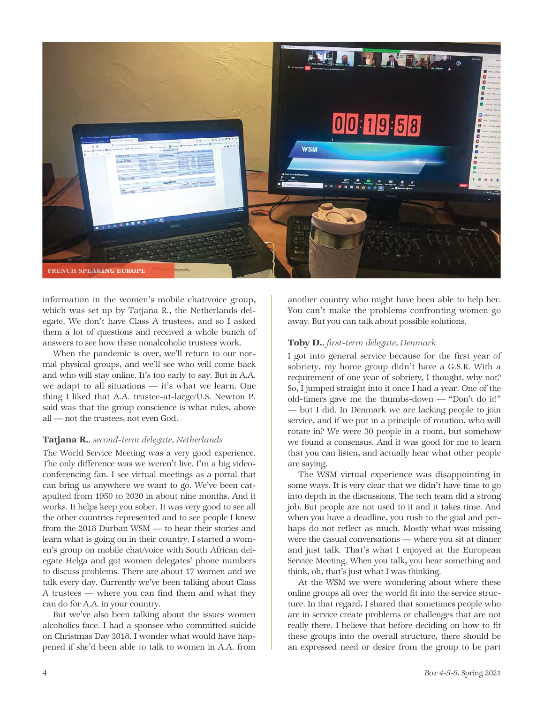

information in the women's mobile chat/voice group, which was set up by Tatjana R., the Netherlands delegate. We don't have Class A trustees, and so I asked them a lot of questions and received a whole bunch of answers to see how these nonalcoholic trustees work.

When the pandemic is over, we'll return to our normal physical groups, and we'll see who will come back and who will stay online. It's too early to say. But in A.A. we adapt to all situations — it's what we learn. One thing I liked that A.A. trustee-at-large/U.S. Newton P. said was that the group conscience is what rules, above all — not the trustees, not even God.

### Tatjana R.*, second-term delegate, Netherlands*

The World Service Meeting was a very good experience. The only difference was we weren't live. I'm a big videoconferencing fan. I see virtual meetings as a portal that can bring us anywhere we want to go. We've been catapulted from 1950 to 2020 in about nine months. And it works. It helps keep you sober. It was very good to see all the other countries represented and to see people I knew from the 2018 Durban WSM — to hear their stories and learn what is going on in their country. I started a women's group on mobile chat/voice with South African delegate Helga and got women delegates' phone numbers to discuss problems. There are about 17 women and we talk every day. Currently we've been talking about Class A trustees — where you can find them and what they can do for A.A. in your country.

But we've also been talking about the issues women alcoholics face. I had a sponsee who committed suicide on Christmas Day 2018. I wonder what would have happened if she'd been able to talk to women in A.A. from

another country who might have been able to help her. You can't make the problems confronting women go away. But you can talk about possible solutions.

#### Toby D.*, first-term delegate, Denmark*

I got into general service because for the first year of sobriety, my home group didn't have a G.S.R. With a requirement of one year of sobriety, I thought, why not? So, I jumped straight into it once I had a year. One of the old-timers gave me the thumbs-down — "Don't do it!" — but I did. In Denmark we are lacking people to join service, and if we put in a principle of rotation, who will rotate in? We were 30 people in a room, but somehow we found a consensus. And it was good for me to learn that you can listen, and actually hear what other people are saying.

The WSM virtual experience was disappointing in some ways. It is very clear that we didn't have time to go into depth in the discussions. The tech team did a strong job. But people are not used to it and it takes time. And when you have a deadline, you rush to the goal and perhaps do not reflect as much. Mostly what was missing were the casual conversations — where you sit at dinner and just talk. That's what I enjoyed at the European Service Meeting. When you talk, you hear something and think, oh, that's just what I was thinking.

At the WSM we were wondering about where these online groups all over the world fit into the service structure. In that regard, I shared that sometimes people who are in service create problems or challenges that are not really there. I believe that before deciding on how to fit these groups into the overall structure, there should be an expressed need or desire from the group to be part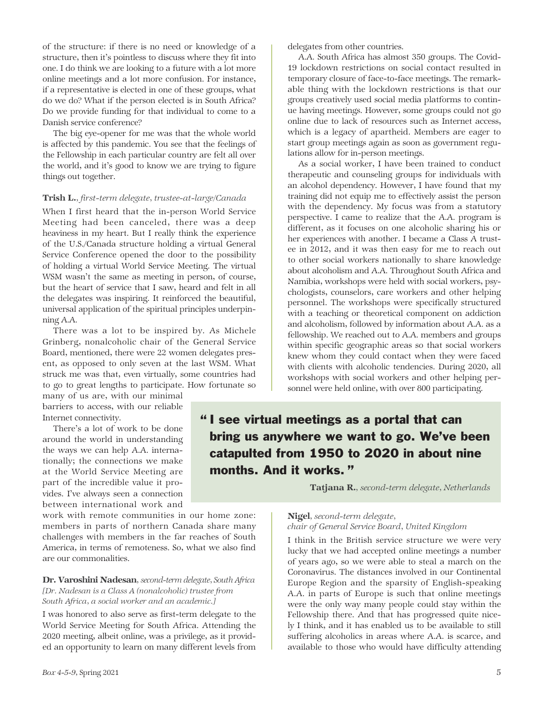of the structure: if there is no need or knowledge of a structure, then it's pointless to discuss where they fit into one. I do think we are looking to a future with a lot more online meetings and a lot more confusion. For instance, if a representative is elected in one of these groups, what do we do? What if the person elected is in South Africa? Do we provide funding for that individual to come to a Danish service conference?

The big eye-opener for me was that the whole world is affected by this pandemic. You see that the feelings of the Fellowship in each particular country are felt all over the world, and it's good to know we are trying to figure things out together.

#### Trish L.*, first-term delegate, trustee-at-large/Canada*

When I first heard that the in-person World Service Meeting had been canceled, there was a deep heaviness in my heart. But I really think the experience of the U.S./Canada structure holding a virtual General Service Conference opened the door to the possibility of holding a virtual World Service Meeting. The virtual WSM wasn't the same as meeting in person, of course, but the heart of service that I saw, heard and felt in all the delegates was inspiring. It reinforced the beautiful, universal application of the spiritual principles underpinning A.A.

There was a lot to be inspired by. As Michele Grinberg, nonalcoholic chair of the General Service Board, mentioned, there were 22 women delegates present, as opposed to only seven at the last WSM. What struck me was that, even virtually, some countries had to go to great lengths to participate. How fortunate so

many of us are, with our minimal barriers to access, with our reliable Internet connectivity.

There's a lot of work to be done around the world in understanding the ways we can help A.A. internationally; the connections we make at the World Service Meeting are part of the incredible value it provides. I've always seen a connection between international work and

work with remote communities in our home zone: members in parts of northern Canada share many challenges with members in the far reaches of South America, in terms of remoteness. So, what we also find are our commonalities.

#### Dr. Varoshini Nadesan*, second-term delegate, South Africa [Dr. Nadesan is a Class A (nonalcoholic) trustee from South Africa, a social worker and an academic.]*

I was honored to also serve as first-term delegate to the World Service Meeting for South Africa. Attending the 2020 meeting, albeit online, was a privilege, as it provided an opportunity to learn on many different levels from delegates from other countries.

A.A. South Africa has almost 350 groups. The Covid-19 lockdown restrictions on social contact resulted in temporary closure of face-to-face meetings. The remarkable thing with the lockdown restrictions is that our groups creatively used social media platforms to continue having meetings. However, some groups could not go online due to lack of resources such as Internet access, which is a legacy of apartheid. Members are eager to start group meetings again as soon as government regulations allow for in-person meetings.

As a social worker, I have been trained to conduct therapeutic and counseling groups for individuals with an alcohol dependency. However, I have found that my training did not equip me to effectively assist the person with the dependency. My focus was from a statutory perspective. I came to realize that the A.A. program is different, as it focuses on one alcoholic sharing his or her experiences with another. I became a Class A trustee in 2012, and it was then easy for me to reach out to other social workers nationally to share knowledge about alcoholism and A.A. Throughout South Africa and Namibia, workshops were held with social workers, psychologists, counselors, care workers and other helping personnel. The workshops were specifically structured with a teaching or theoretical component on addiction and alcoholism, followed by information about A.A. as a fellowship. We reached out to A.A. members and groups within specific geographic areas so that social workers knew whom they could contact when they were faced with clients with alcoholic tendencies. During 2020, all workshops with social workers and other helping personnel were held online, with over 800 participating.

# " I see virtual meetings as a portal that can bring us anywhere we want to go. We've been catapulted from 1950 to 2020 in about nine months. And it works. "

Tatjana R.*, second-term delegate, Netherlands*

#### Nigel*, second-term delegate,*

#### *chair of General Service Board, United Kingdom*

I think in the British service structure we were very lucky that we had accepted online meetings a number of years ago, so we were able to steal a march on the Coronavirus. The distances involved in our Continental Europe Region and the sparsity of English-speaking A.A. in parts of Europe is such that online meetings were the only way many people could stay within the Fellowship there. And that has progressed quite nicely I think, and it has enabled us to be available to still suffering alcoholics in areas where A.A. is scarce, and available to those who would have difficulty attending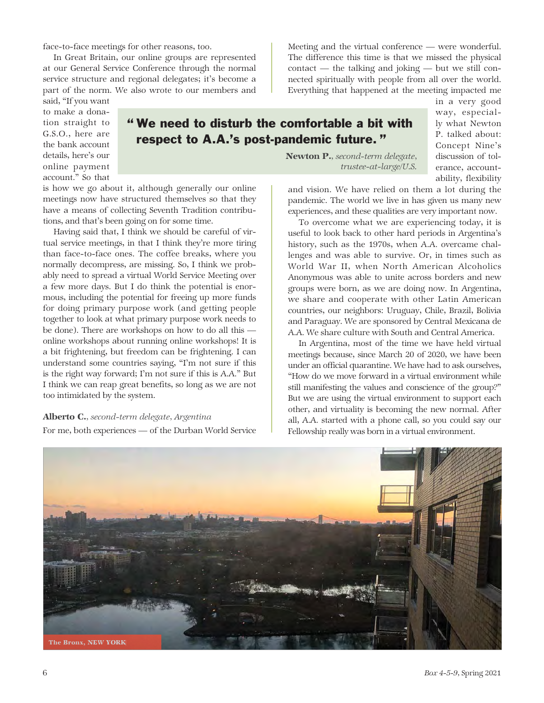face-to-face meetings for other reasons, too.

In Great Britain, our online groups are represented at our General Service Conference through the normal service structure and regional delegates; it's become a part of the norm. We also wrote to our members and Meeting and the virtual conference — were wonderful. The difference this time is that we missed the physical contact — the talking and joking — but we still connected spiritually with people from all over the world. Everything that happened at the meeting impacted me

said, "If you want to make a donation straight to G.S.O., here are the bank account details, here's our online payment account." So that



in a very good way, especially what Newton P. talked about: Concept Nine's discussion of tolerance, accountability, flexibility

is how we go about it, although generally our online meetings now have structured themselves so that they have a means of collecting Seventh Tradition contributions, and that's been going on for some time.

Having said that, I think we should be careful of virtual service meetings, in that I think they're more tiring than face-to-face ones. The coffee breaks, where you normally decompress, are missing. So, I think we probably need to spread a virtual World Service Meeting over a few more days. But I do think the potential is enormous, including the potential for freeing up more funds for doing primary purpose work (and getting people together to look at what primary purpose work needs to be done). There are workshops on how to do all this online workshops about running online workshops! It is a bit frightening, but freedom can be frightening. I can understand some countries saying, "I'm not sure if this is the right way forward; I'm not sure if this is A.A." But I think we can reap great benefits, so long as we are not too intimidated by the system.

## Alberto C.*, second-term delegate, Argentina* For me, both experiences — of the Durban World Service

Newton P.*, second-term delegate, trustee-at-large/U.S.* 

and vision. We have relied on them a lot during the pandemic. The world we live in has given us many new experiences, and these qualities are very important now.

To overcome what we are experiencing today, it is useful to look back to other hard periods in Argentina's history, such as the 1970s, when A.A. overcame challenges and was able to survive. Or, in times such as World War II, when North American Alcoholics Anonymous was able to unite across borders and new groups were born, as we are doing now. In Argentina, we share and cooperate with other Latin American countries, our neighbors: Uruguay, Chile, Brazil, Bolivia and Paraguay. We are sponsored by Central Mexicana de A.A. We share culture with South and Central America.

In Argentina, most of the time we have held virtual meetings because, since March 20 of 2020, we have been under an official quarantine. We have had to ask ourselves, "How do we move forward in a virtual environment while still manifesting the values and conscience of the group?" But we are using the virtual environment to support each other, and virtuality is becoming the new normal. After all, A.A. started with a phone call, so you could say our Fellowship really was born in a virtual environment.

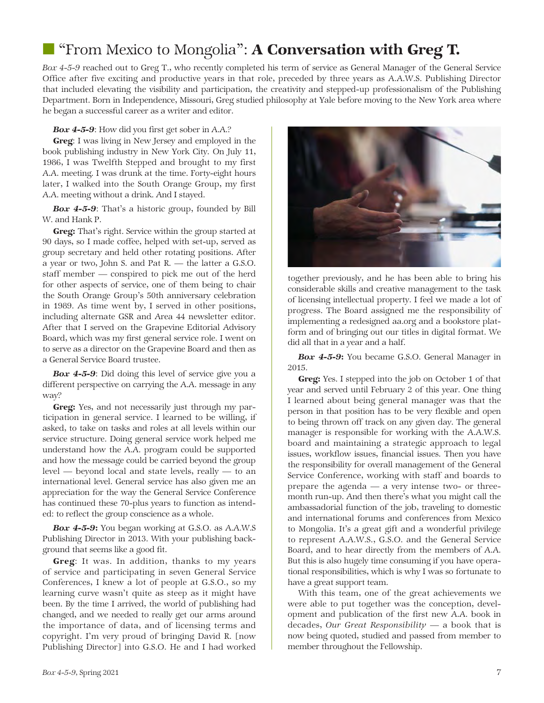# **The "From Mexico to Mongolia": A Conversation with Greg T.**

*Box 4-5-9* reached out to Greg T., who recently completed his term of service as General Manager of the General Service Office after five exciting and productive years in that role, preceded by three years as A.A.W.S. Publishing Director that included elevating the visibility and participation, the creativity and stepped-up professionalism of the Publishing Department. Born in Independence, Missouri, Greg studied philosophy at Yale before moving to the New York area where he began a successful career as a writer and editor.

*Box 4-5-9*: How did you first get sober in A.A.?

Greg: I was living in New Jersey and employed in the book publishing industry in New York City. On July 11, 1986, I was Twelfth Stepped and brought to my first A.A. meeting. I was drunk at the time. Forty-eight hours later, I walked into the South Orange Group, my first A.A. meeting without a drink. And I stayed.

*Box 4-5-9*: That's a historic group, founded by Bill W. and Hank P.

Greg: That's right. Service within the group started at 90 days, so I made coffee, helped with set-up, served as group secretary and held other rotating positions. After a year or two, John S. and Pat R. — the latter a G.S.O. staff member — conspired to pick me out of the herd for other aspects of service, one of them being to chair the South Orange Group's 50th anniversary celebration in 1989. As time went by, I served in other positions, including alternate GSR and Area 44 newsletter editor. After that I served on the Grapevine Editorial Advisory Board, which was my first general service role. I went on to serve as a director on the Grapevine Board and then as a General Service Board trustee.

*Box 4-5-9*: Did doing this level of service give you a different perspective on carrying the A.A. message in any way?

Greg: Yes, and not necessarily just through my participation in general service. I learned to be willing, if asked, to take on tasks and roles at all levels within our service structure. Doing general service work helped me understand how the A.A. program could be supported and how the message could be carried beyond the group level — beyond local and state levels, really — to an international level. General service has also given me an appreciation for the way the General Service Conference has continued these 70-plus years to function as intended: to reflect the group conscience as a whole.

*Box 4-5-9*: You began working at G.S.O. as A.A.W.S Publishing Director in 2013. With your publishing background that seems like a good fit.

Greg: It was. In addition, thanks to my years of service and participating in seven General Service Conferences, I knew a lot of people at G.S.O., so my learning curve wasn't quite as steep as it might have been. By the time I arrived, the world of publishing had changed, and we needed to really get our arms around the importance of data, and of licensing terms and copyright. I'm very proud of bringing David R. [now Publishing Director] into G.S.O. He and I had worked



together previously, and he has been able to bring his considerable skills and creative management to the task of licensing intellectual property. I feel we made a lot of progress. The Board assigned me the responsibility of implementing a redesigned aa.org and a bookstore platform and of bringing out our titles in digital format. We did all that in a year and a half.

*Box 4-5-9*: You became G.S.O. General Manager in 2015.

Greg: Yes. I stepped into the job on October 1 of that year and served until February 2 of this year. One thing I learned about being general manager was that the person in that position has to be very flexible and open to being thrown off track on any given day. The general manager is responsible for working with the A.A.W.S. board and maintaining a strategic approach to legal issues, workflow issues, financial issues. Then you have the responsibility for overall management of the General Service Conference, working with staff and boards to prepare the agenda — a very intense two- or threemonth run-up. And then there's what you might call the ambassadorial function of the job, traveling to domestic and international forums and conferences from Mexico to Mongolia. It's a great gift and a wonderful privilege to represent A.A.W.S., G.S.O. and the General Service Board, and to hear directly from the members of A.A. But this is also hugely time consuming if you have operational responsibilities, which is why I was so fortunate to have a great support team.

With this team, one of the great achievements we were able to put together was the conception, development and publication of the first new A.A. book in decades, *Our Great Responsibility* — a book that is now being quoted, studied and passed from member to member throughout the Fellowship.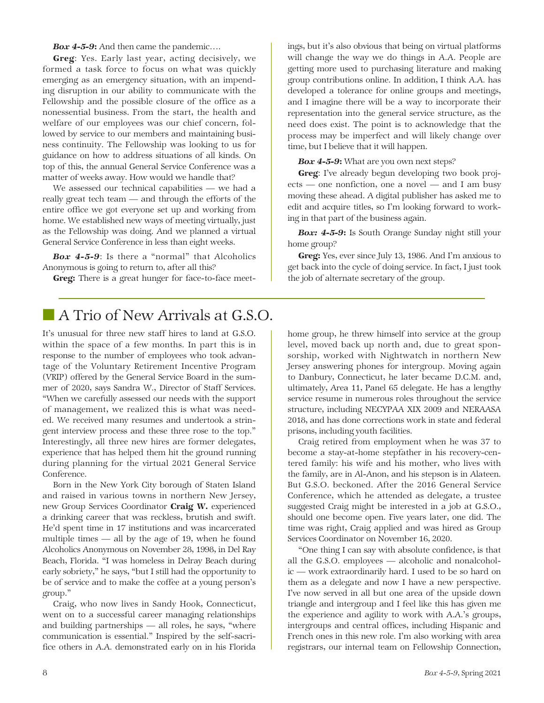*Box 4-5-9*: And then came the pandemic….

Greg: Yes. Early last year, acting decisively, we formed a task force to focus on what was quickly emerging as an emergency situation, with an impending disruption in our ability to communicate with the Fellowship and the possible closure of the office as a nonessential business. From the start, the health and welfare of our employees was our chief concern, followed by service to our members and maintaining business continuity. The Fellowship was looking to us for guidance on how to address situations of all kinds. On top of this, the annual General Service Conference was a matter of weeks away. How would we handle that?

We assessed our technical capabilities — we had a really great tech team — and through the efforts of the entire office we got everyone set up and working from home. We established new ways of meeting virtually, just as the Fellowship was doing. And we planned a virtual General Service Conference in less than eight weeks.

*Box 4-5-9*: Is there a "normal" that Alcoholics Anonymous is going to return to, after all this?

Greg: There is a great hunger for face-to-face meet-

ings, but it's also obvious that being on virtual platforms will change the way we do things in A.A. People are getting more used to purchasing literature and making group contributions online. In addition, I think A.A. has developed a tolerance for online groups and meetings, and I imagine there will be a way to incorporate their representation into the general service structure, as the need does exist. The point is to acknowledge that the process may be imperfect and will likely change over time, but I believe that it will happen.

*Box 4-5-9*: What are you own next steps?

Greg: I've already begun developing two book projects — one nonfiction, one a novel — and I am busy moving these ahead. A digital publisher has asked me to edit and acquire titles, so I'm looking forward to working in that part of the business again.

*Box: 4-5-9*: Is South Orange Sunday night still your home group?

**Greg:** Yes, ever since July 13, 1986. And I'm anxious to get back into the cycle of doing service. In fact, I just took the job of alternate secretary of the group.

# ■ A Trio of New Arrivals at G.S.O.

It's unusual for three new staff hires to land at G.S.O. within the space of a few months. In part this is in response to the number of employees who took advantage of the Voluntary Retirement Incentive Program (VRIP) offered by the General Service Board in the summer of 2020, says Sandra W., Director of Staff Services. "When we carefully assessed our needs with the support of management, we realized this is what was needed. We received many resumes and undertook a stringent interview process and these three rose to the top." Interestingly, all three new hires are former delegates, experience that has helped them hit the ground running during planning for the virtual 2021 General Service Conference.

Born in the New York City borough of Staten Island and raised in various towns in northern New Jersey, new Group Services Coordinator Craig W. experienced a drinking career that was reckless, brutish and swift. He'd spent time in 17 institutions and was incarcerated multiple times — all by the age of 19, when he found Alcoholics Anonymous on November 28, 1998, in Del Ray Beach, Florida. "I was homeless in Delray Beach during early sobriety," he says, "but I still had the opportunity to be of service and to make the coffee at a young person's group."

Craig, who now lives in Sandy Hook, Connecticut, went on to a successful career managing relationships and building partnerships — all roles, he says, "where communication is essential." Inspired by the self-sacrifice others in A.A. demonstrated early on in his Florida

home group, he threw himself into service at the group level, moved back up north and, due to great sponsorship, worked with Nightwatch in northern New Jersey answering phones for intergroup. Moving again to Danbury, Connecticut, he later became D.C.M. and, ultimately, Area 11, Panel 65 delegate. He has a lengthy service resume in numerous roles throughout the service structure, including NECYPAA XIX 2009 and NERAASA 2018, and has done corrections work in state and federal prisons, including youth facilities.

Craig retired from employment when he was 37 to become a stay-at-home stepfather in his recovery-centered family: his wife and his mother, who lives with the family, are in Al-Anon, and his stepson is in Alateen. But G.S.O. beckoned. After the 2016 General Service Conference, which he attended as delegate, a trustee suggested Craig might be interested in a job at G.S.O., should one become open. Five years later, one did. The time was right, Craig applied and was hired as Group Services Coordinator on November 16, 2020.

"One thing I can say with absolute confidence, is that all the G.S.O. employees — alcoholic and nonalcoholic — work extraordinarily hard. I used to be so hard on them as a delegate and now I have a new perspective. I've now served in all but one area of the upside down triangle and intergroup and I feel like this has given me the experience and agility to work with A.A.'s groups, intergroups and central offices, including Hispanic and French ones in this new role. I'm also working with area registrars, our internal team on Fellowship Connection,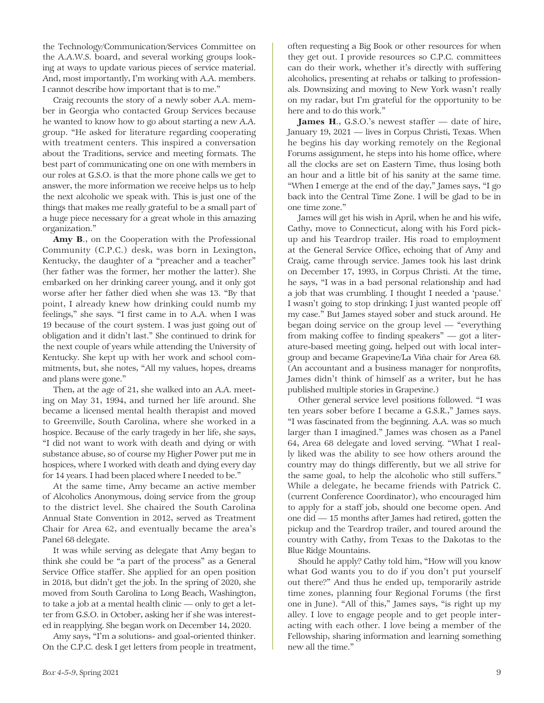the Technology/Communication/Services Committee on the A.A.W.S. board, and several working groups looking at ways to update various pieces of service material. And, most importantly, I'm working with A.A. members. I cannot describe how important that is to me."

Craig recounts the story of a newly sober A.A. member in Georgia who contacted Group Services because he wanted to know how to go about starting a new A.A. group. "He asked for literature regarding cooperating with treatment centers. This inspired a conversation about the Traditions, service and meeting formats. The best part of communicating one on one with members in our roles at G.S.O. is that the more phone calls we get to answer, the more information we receive helps us to help the next alcoholic we speak with. This is just one of the things that makes me really grateful to be a small part of a huge piece necessary for a great whole in this amazing organization."

Amy B., on the Cooperation with the Professional Community (C.P.C.) desk, was born in Lexington, Kentucky, the daughter of a "preacher and a teacher" (her father was the former, her mother the latter). She embarked on her drinking career young, and it only got worse after her father died when she was 13. "By that point, I already knew how drinking could numb my feelings," she says. "I first came in to A.A. when I was 19 because of the court system. I was just going out of obligation and it didn't last." She continued to drink for the next couple of years while attending the University of Kentucky. She kept up with her work and school commitments, but, she notes, "All my values, hopes, dreams and plans were gone."

Then, at the age of 21, she walked into an A.A. meeting on May 31, 1994, and turned her life around. She became a licensed mental health therapist and moved to Greenville, South Carolina, where she worked in a hospice. Because of the early tragedy in her life, she says, "I did not want to work with death and dying or with substance abuse, so of course my Higher Power put me in hospices, where I worked with death and dying every day for 14 years. I had been placed where I needed to be."

At the same time, Amy became an active member of Alcoholics Anonymous, doing service from the group to the district level. She chaired the South Carolina Annual State Convention in 2012, served as Treatment Chair for Area 62, and eventually became the area's Panel 68 delegate.

It was while serving as delegate that Amy began to think she could be "a part of the process" as a General Service Office staffer. She applied for an open position in 2018, but didn't get the job. In the spring of 2020, she moved from South Carolina to Long Beach, Washington, to take a job at a mental health clinic — only to get a letter from G.S.O. in October, asking her if she was interested in reapplying. She began work on December 14, 2020.

Amy says, "I'm a solutions- and goal-oriented thinker. On the C.P.C. desk I get letters from people in treatment, often requesting a Big Book or other resources for when they get out. I provide resources so C.P.C. committees can do their work, whether it's directly with suffering alcoholics, presenting at rehabs or talking to professionals. Downsizing and moving to New York wasn't really on my radar, but I'm grateful for the opportunity to be here and to do this work."

James H., G.S.O.'s newest staffer — date of hire, January 19, 2021 — lives in Corpus Christi, Texas. When he begins his day working remotely on the Regional Forums assignment, he steps into his home office, where all the clocks are set on Eastern Time, thus losing both an hour and a little bit of his sanity at the same time. "When I emerge at the end of the day," James says, "I go back into the Central Time Zone. I will be glad to be in one time zone."

James will get his wish in April, when he and his wife, Cathy, move to Connecticut, along with his Ford pickup and his Teardrop trailer. His road to employment at the General Service Office, echoing that of Amy and Craig, came through service. James took his last drink on December 17, 1993, in Corpus Christi. At the time, he says, "I was in a bad personal relationship and had a job that was crumbling. I thought I needed a 'pause.' I wasn't going to stop drinking; I just wanted people off my case." But James stayed sober and stuck around. He began doing service on the group level — "everything from making coffee to finding speakers" — got a literature-based meeting going, helped out with local intergroup and became Grapevine/La Viña chair for Area 68. (An accountant and a business manager for nonprofits, James didn't think of himself as a writer, but he has published multiple stories in Grapevine.)

Other general service level positions followed. "I was ten years sober before I became a G.S.R.," James says. "I was fascinated from the beginning. A.A. was so much larger than I imagined." James was chosen as a Panel 64, Area 68 delegate and loved serving. "What I really liked was the ability to see how others around the country may do things differently, but we all strive for the same goal, to help the alcoholic who still suffers." While a delegate, he became friends with Patrick C. (current Conference Coordinator), who encouraged him to apply for a staff job, should one become open. And one did — 15 months after James had retired, gotten the pickup and the Teardrop trailer, and toured around the country with Cathy, from Texas to the Dakotas to the Blue Ridge Mountains.

Should he apply? Cathy told him, "How will you know what God wants you to do if you don't put yourself out there?" And thus he ended up, temporarily astride time zones, planning four Regional Forums (the first one in June). "All of this," James says, "is right up my alley. I love to engage people and to get people interacting with each other. I love being a member of the Fellowship, sharing information and learning something new all the time."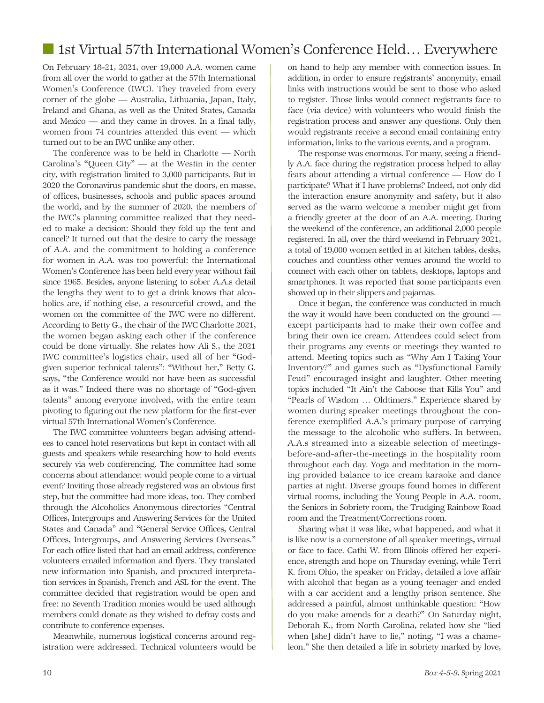# ■ 1st Virtual 57th International Women's Conference Held... Everywhere

On February 18-21, 2021, over 19,000 A.A. women came from all over the world to gather at the 57th International Women's Conference (IWC). They traveled from every corner of the globe — Australia, Lithuania, Japan, Italy, Ireland and Ghana, as well as the United States, Canada and Mexico — and they came in droves. In a final tally, women from 74 countries attended this event — which turned out to be an IWC unlike any other.

The conference was to be held in Charlotte — North Carolina's "Queen City" — at the Westin in the center city, with registration limited to 3,000 participants. But in 2020 the Coronavirus pandemic shut the doors, en masse, of offices, businesses, schools and public spaces around the world, and by the summer of 2020, the members of the IWC's planning committee realized that they needed to make a decision: Should they fold up the tent and cancel? It turned out that the desire to carry the message of A.A. and the commitment to holding a conference for women in A.A. was too powerful: the International Women's Conference has been held every year without fail since 1965. Besides, anyone listening to sober A.A.s detail the lengths they went to to get a drink knows that alcoholics are, if nothing else, a resourceful crowd, and the women on the committee of the IWC were no different. According to Betty G., the chair of the IWC Charlotte 2021, the women began asking each other if the conference could be done virtually. She relates how Ali S., the 2021 IWC committee's logistics chair, used all of her "Godgiven superior technical talents": "Without her," Betty G. says, "the Conference would not have been as successful as it was." Indeed there was no shortage of "God-given talents" among everyone involved, with the entire team pivoting to figuring out the new platform for the first-ever virtual 57th International Women's Conference.

The IWC committee volunteers began advising attendees to cancel hotel reservations but kept in contact with all guests and speakers while researching how to hold events securely via web conferencing. The committee had some concerns about attendance: would people come to a virtual event? Inviting those already registered was an obvious first step, but the committee had more ideas, too. They combed through the Alcoholics Anonymous directories "Central Offices, Intergroups and Answering Services for the United States and Canada" and "General Service Offices, Central Offices, Intergroups, and Answering Services Overseas." For each office listed that had an email address, conference volunteers emailed information and flyers. They translated new information into Spanish, and procured interpretation services in Spanish, French and ASL for the event. The committee decided that registration would be open and free: no Seventh Tradition monies would be used although members could donate as they wished to defray costs and contribute to conference expenses.

Meanwhile, numerous logistical concerns around registration were addressed. Technical volunteers would be on hand to help any member with connection issues. In addition, in order to ensure registrants' anonymity, email links with instructions would be sent to those who asked to register. Those links would connect registrants face to face (via device) with volunteers who would finish the registration process and answer any questions. Only then would registrants receive a second email containing entry information, links to the various events, and a program.

The response was enormous. For many, seeing a friendly A.A. face during the registration process helped to allay fears about attending a virtual conference — How do I participate? What if I have problems? Indeed, not only did the interaction ensure anonymity and safety, but it also served as the warm welcome a member might get from a friendly greeter at the door of an A.A. meeting. During the weekend of the conference, an additional 2,000 people registered. In all, over the third weekend in February 2021, a total of 19,000 women settled in at kitchen tables, desks, couches and countless other venues around the world to connect with each other on tablets, desktops, laptops and smartphones. It was reported that some participants even showed up in their slippers and pajamas.

Once it began, the conference was conducted in much the way it would have been conducted on the ground except participants had to make their own coffee and bring their own ice cream. Attendees could select from their programs any events or meetings they wanted to attend. Meeting topics such as "Why Am I Taking Your Inventory?" and games such as "Dysfunctional Family Feud" encouraged insight and laughter. Other meeting topics included "It Ain't the Caboose that Kills You" and "Pearls of Wisdom … Oldtimers." Experience shared by women during speaker meetings throughout the conference exemplified A.A.'s primary purpose of carrying the message to the alcoholic who suffers. In between, A.A.s streamed into a sizeable selection of meetingsbefore-and-after-the-meetings in the hospitality room throughout each day. Yoga and meditation in the morning provided balance to ice cream karaoke and dance parties at night. Diverse groups found homes in different virtual rooms, including the Young People in A.A. room, the Seniors in Sobriety room, the Trudging Rainbow Road room and the Treatment/Corrections room.

Sharing what it was like, what happened, and what it is like now is a cornerstone of all speaker meetings, virtual or face to face. Cathi W. from Illinois offered her experience, strength and hope on Thursday evening, while Terri K. from Ohio, the speaker on Friday, detailed a love affair with alcohol that began as a young teenager and ended with a car accident and a lengthy prison sentence. She addressed a painful, almost unthinkable question: "How do you make amends for a death?" On Saturday night, Deborah K., from North Carolina, related how she "lied when [she] didn't have to lie," noting, "I was a chameleon." She then detailed a life in sobriety marked by love,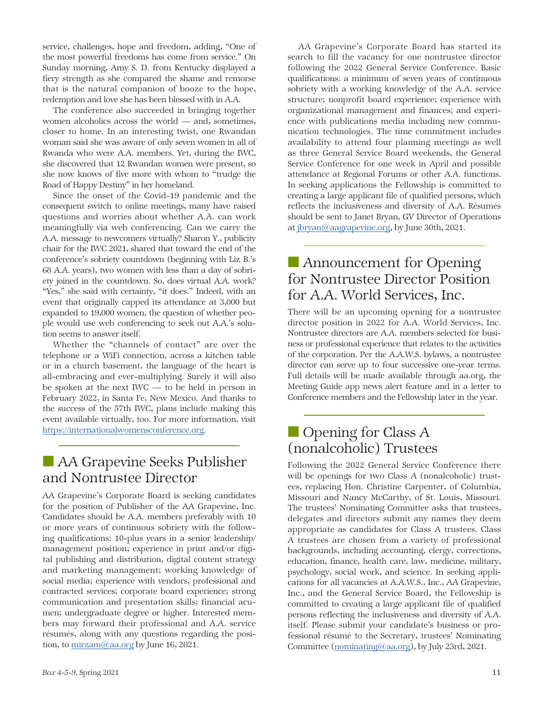service, challenges, hope and freedom, adding, "One of the most powerful freedoms has come from service." On Sunday morning, Amy S. D. from Kentucky displayed a fiery strength as she compared the shame and remorse that is the natural companion of booze to the hope, redemption and love she has been blessed with in A.A.

The conference also succeeded in bringing together women alcoholics across the world — and, sometimes, closer to home. In an interesting twist, one Rwandan woman said she was aware of only seven women in all of Rwanda who were A.A. members. Yet, during the IWC, she discovered that 12 Rwandan women were present, so she now knows of five more with whom to "trudge the Road of Happy Destiny" in her homeland.

Since the onset of the Covid-19 pandemic and the consequent switch to online meetings, many have raised questions and worries about whether A.A. can work meaningfully via web conferencing. Can we carry the A.A. message to newcomers virtually? Sharon Y., publicity chair for the IWC 2021, shared that toward the end of the conference's sobriety countdown (beginning with Liz B.'s 68 A.A. years), two women with less than a day of sobriety joined in the countdown. So, does virtual A.A. work? "Yes," she said with certainty, "it does." Indeed, with an event that originally capped its attendance at 3,000 but expanded to 19,000 women, the question of whether people would use web conferencing to seek out A.A.'s solution seems to answer itself.

Whether the "channels of contact" are over the telephone or a WiFi connection, across a kitchen table or in a church basement, the language of the heart is all-embracing and ever-multiplying. Surely it will also be spoken at the next IWC — to be held in person in February 2022, in Santa Fe, New Mexico. And thanks to the success of the 57th IWC, plans include making this event available virtually, too. For more information, visit https://internationalwomensconference.org.

# ■ AA Grapevine Seeks Publisher and Nontrustee Director

AA Grapevine's Corporate Board is seeking candidates for the position of Publisher of the AA Grapevine, Inc. Candidates should be A.A. members preferably with 10 or more years of continuous sobriety with the following qualifications: 10-plus years in a senior leadership/ management position; experience in print and/or digital publishing and distribution, digital content strategy and marketing management; working knowledge of social media; experience with vendors, professional and contracted services; corporate board experience; strong communication and presentation skills; financial acumen; undergraduate degree or higher. Interested members may forward their professional and A.A. service résumés, along with any questions regarding the position, to mirzam@aa.org by June 16, 2021.

AA Grapevine's Corporate Board has started its search to fill the vacancy for one nontrustee director following the 2022 General Service Conference. Basic qualifications: a minimum of seven years of continuous sobriety with a working knowledge of the A.A. service structure; nonprofit board experience; experience with organizational management and finances; and experience with publications media including new communication technologies. The time commitment includes availability to attend four planning meetings as well as three General Service Board weekends, the General Service Conference for one week in April and possible attendance at Regional Forums or other A.A. functions. In seeking applications the Fellowship is committed to creating a large applicant file of qualified persons, which reflects the inclusiveness and diversity of A.A. Résumés should be sent to Janet Bryan, GV Director of Operations at jbryan@aagrapevine.org, by June 30th, 2021.

# ■ Announcement for Opening for Nontrustee Director Position for A.A. World Services, Inc.

There will be an upcoming opening for a nontrustee director position in 2022 for A.A. World Services, Inc. Nontrustee directors are A.A. members selected for business or professional experience that relates to the activities of the corporation. Per the A.A.W.S. bylaws, a nontrustee director can serve up to four successive one-year terms. Full details will be made available through aa.org, the Meeting Guide app news alert feature and in a letter to Conference members and the Fellowship later in the year.

# ■ Opening for Class A (nonalcoholic) Trustees

Following the 2022 General Service Conference there will be openings for two Class A (nonalcoholic) trustees, replacing Hon. Christine Carpenter, of Columbia, Missouri and Nancy McCarthy, of St. Louis, Missouri. The trustees' Nominating Committee asks that trustees, delegates and directors submit any names they deem appropriate as candidates for Class A trustees. Class A trustees are chosen from a variety of professional backgrounds, including accounting, clergy, corrections, education, finance, health care, law, medicine, military, psychology, social work, and science. In seeking applications for all vacancies at A.A.W.S., Inc., AA Grapevine, Inc., and the General Service Board, the Fellowship is committed to creating a large applicant file of qualified persons reflecting the inclusiveness and diversity of A.A. itself. Please submit your candidate's business or professional résumé to the Secretary, trustees' Nominating Committee (nominating@aa.org), by July 23rd, 2021.